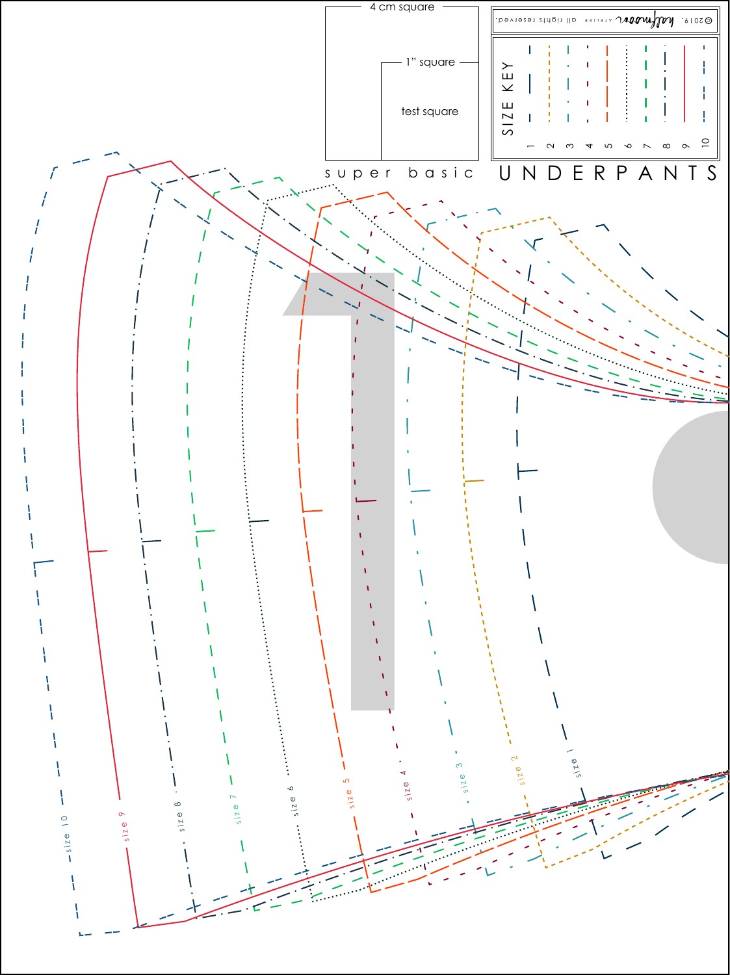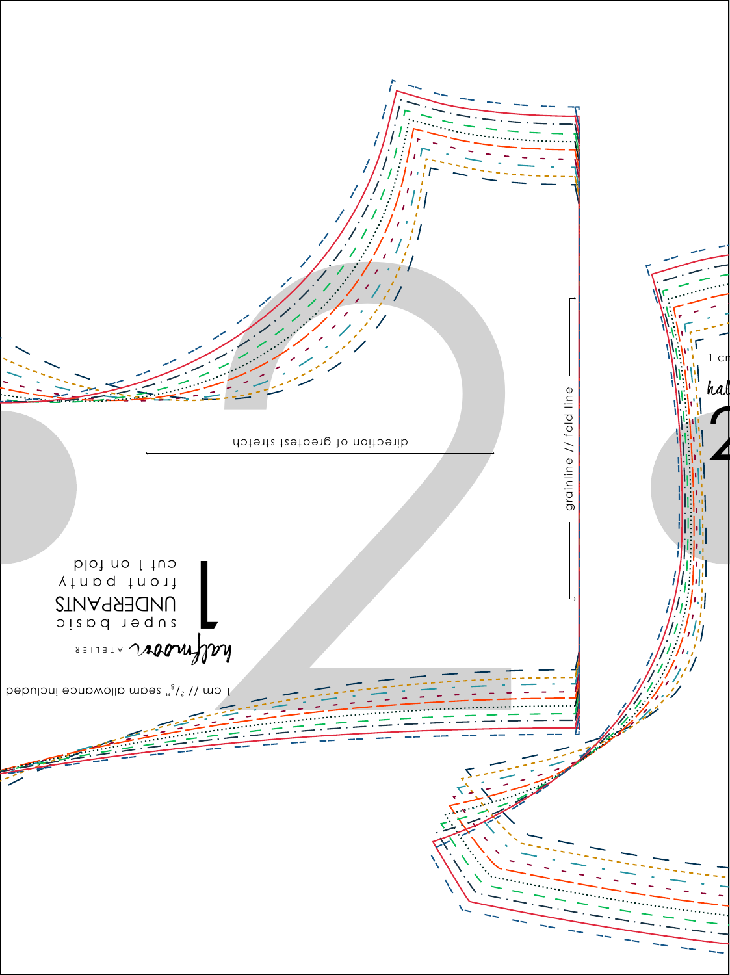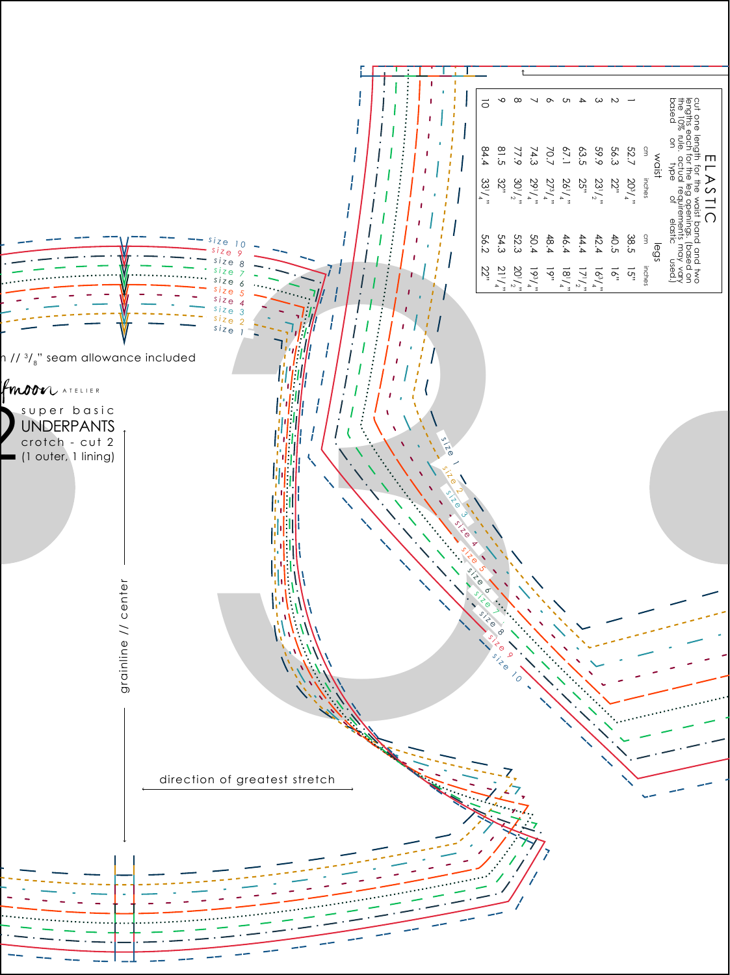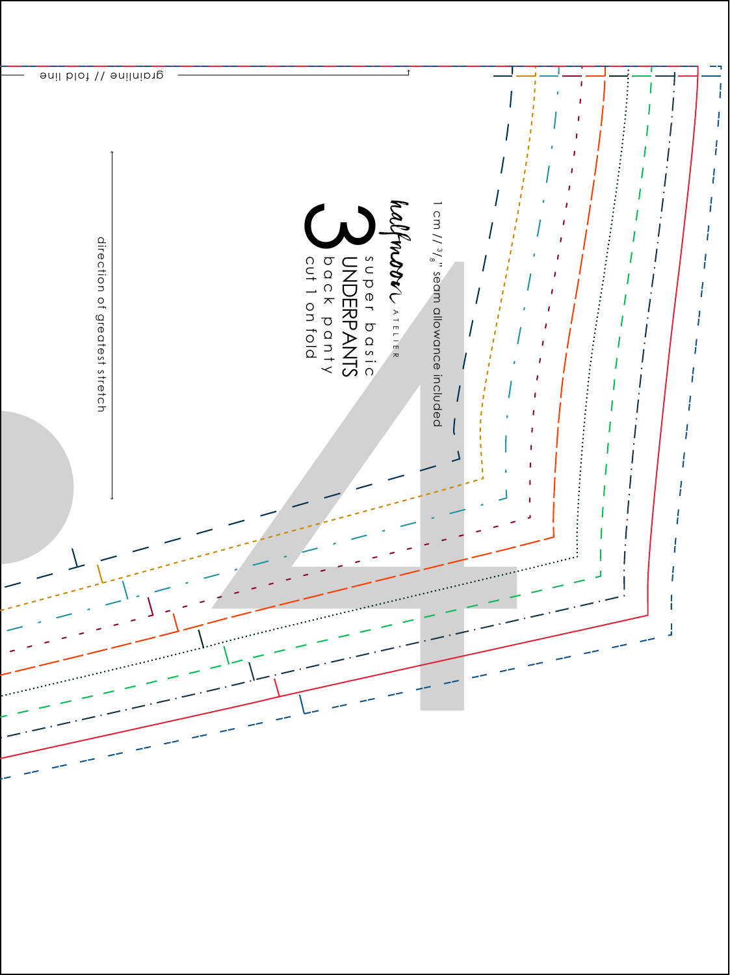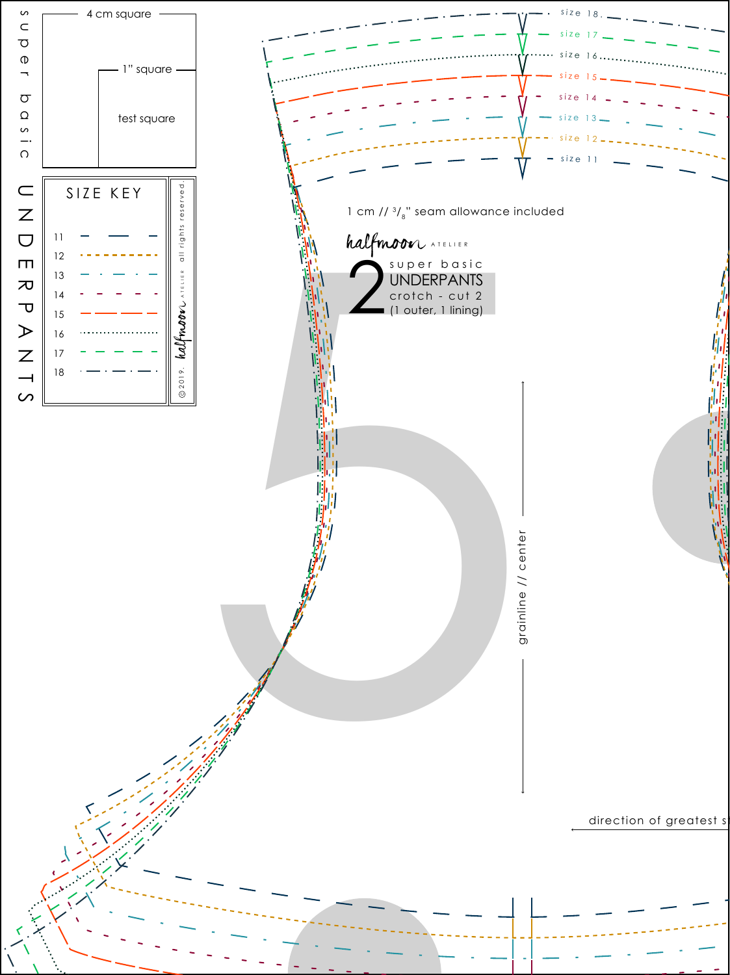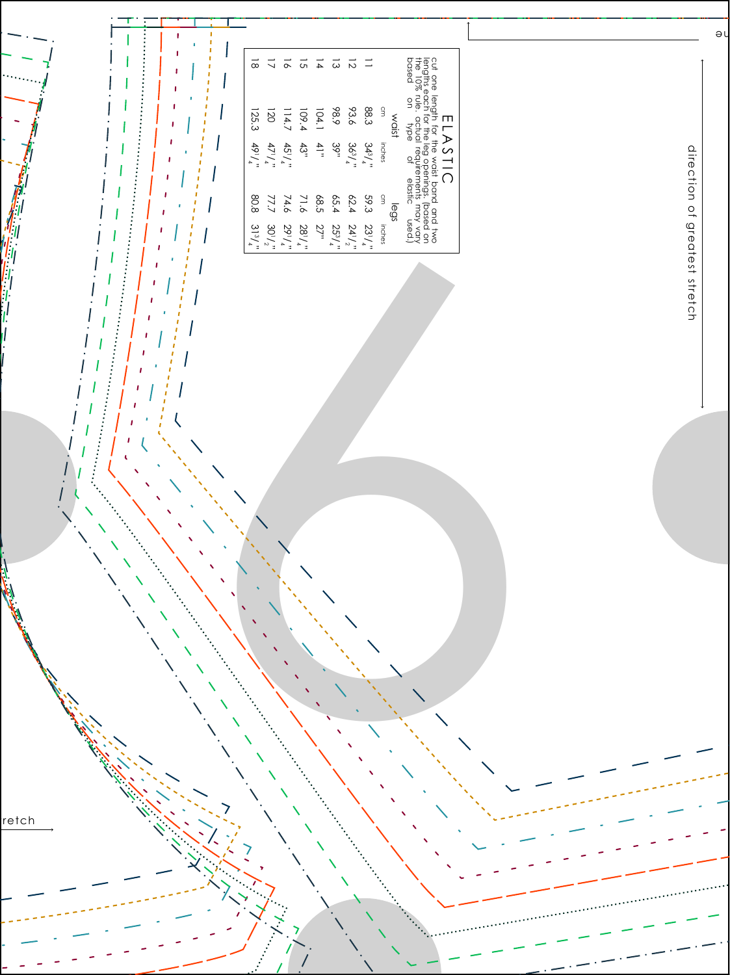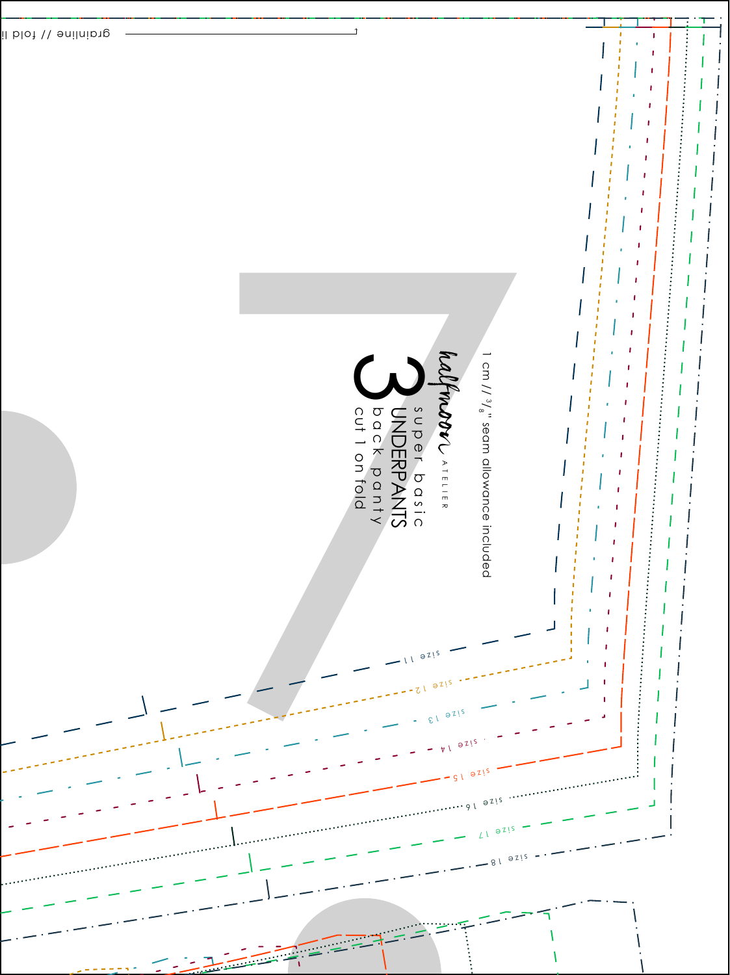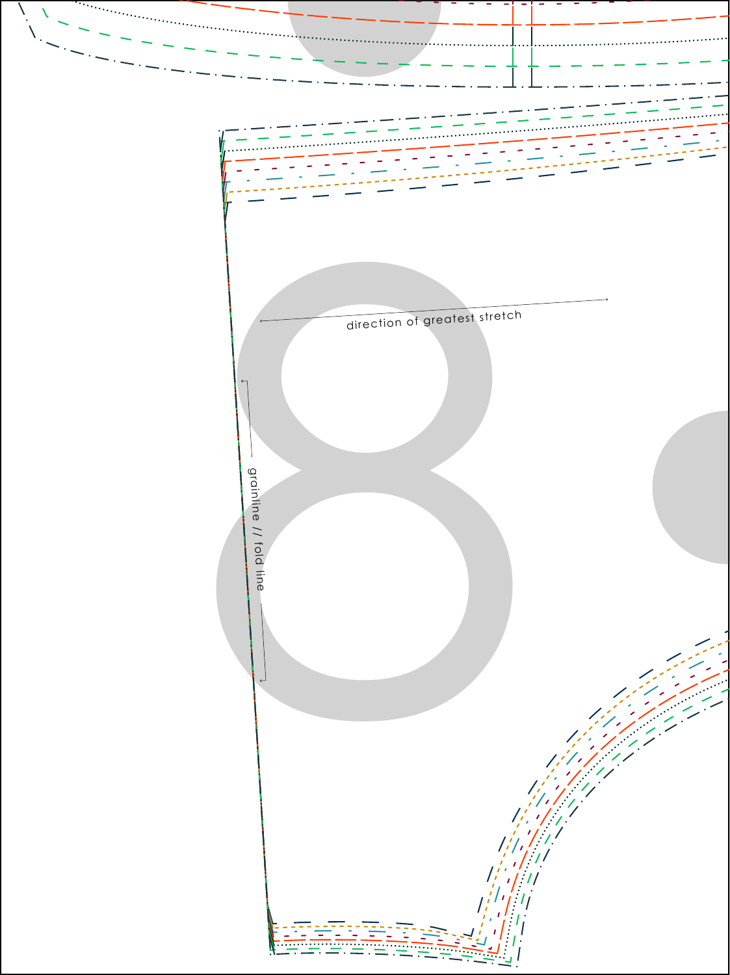

 $\hat{\lambda}$ 

X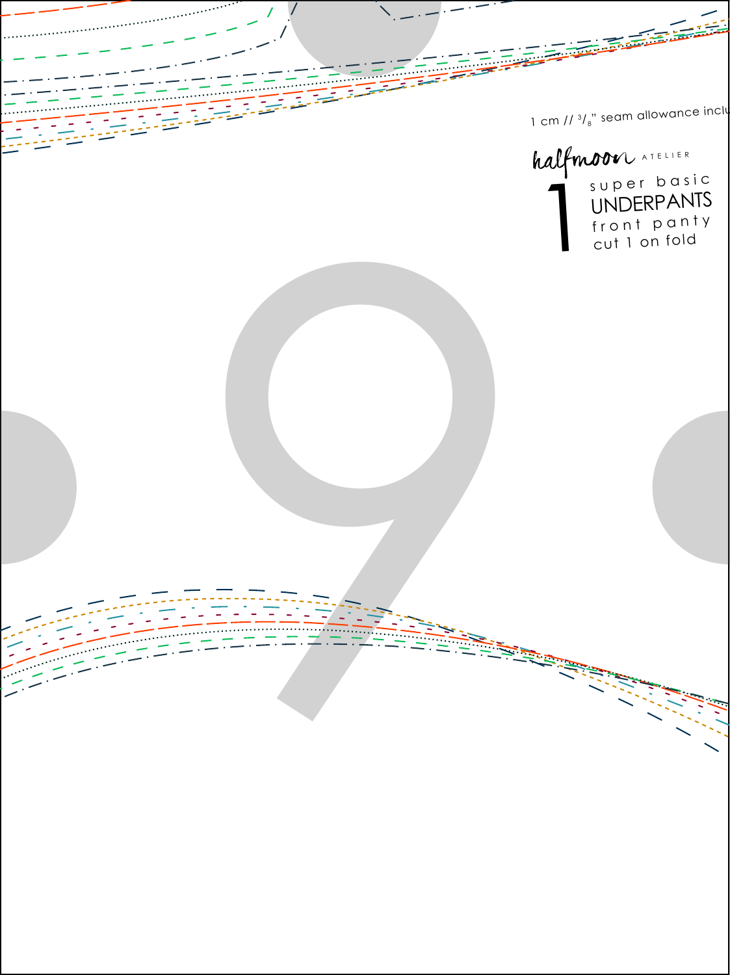